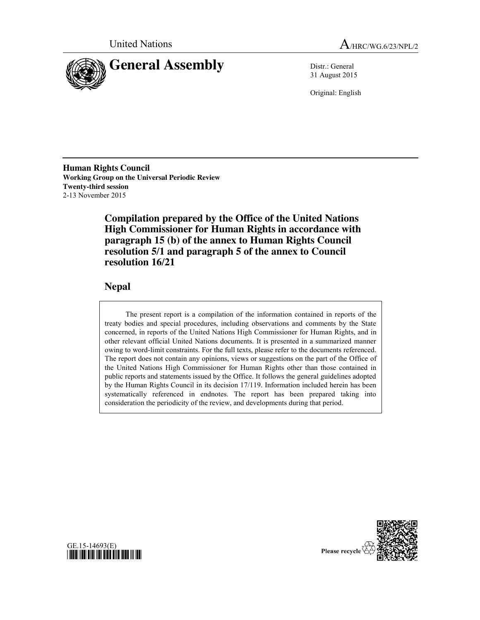



31 August 2015

Original: English

**Human Rights Council Working Group on the Universal Periodic Review Twenty-third session** 2-13 November 2015

> **Compilation prepared by the Office of the United Nations High Commissioner for Human Rights in accordance with paragraph 15 (b) of the annex to Human Rights Council resolution 5/1 and paragraph 5 of the annex to Council resolution 16/21**

# **Nepal**

The present report is a compilation of the information contained in reports of the treaty bodies and special procedures, including observations and comments by the State concerned, in reports of the United Nations High Commissioner for Human Rights, and in other relevant official United Nations documents. It is presented in a summarized manner owing to word-limit constraints. For the full texts, please refer to the documents referenced. The report does not contain any opinions, views or suggestions on the part of the Office of the United Nations High Commissioner for Human Rights other than those contained in public reports and statements issued by the Office. It follows the general guidelines adopted by the Human Rights Council in its decision 17/119. Information included herein has been systematically referenced in endnotes. The report has been prepared taking into consideration the periodicity of the review, and developments during that period.



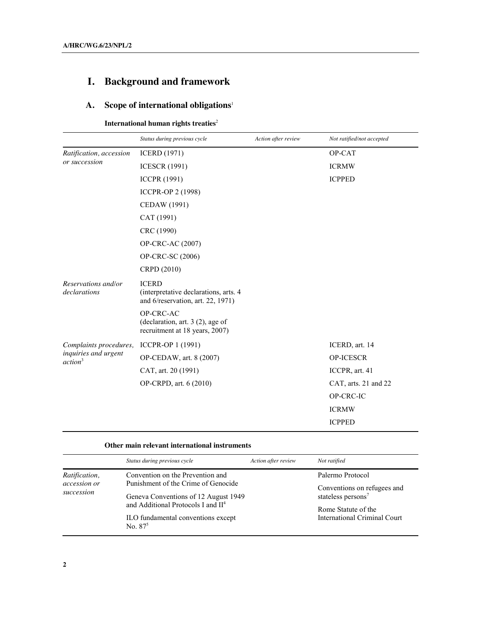# **I. Background and framework**

# **A. Scope of international obligations**<sup>1</sup>

**International human rights treaties**<sup>2</sup>

| Status during previous cycle                                                                | Action after review | Not ratified/not accepted |
|---------------------------------------------------------------------------------------------|---------------------|---------------------------|
| <b>ICERD</b> (1971)                                                                         |                     | OP-CAT                    |
| <b>ICESCR (1991)</b>                                                                        |                     | <b>ICRMW</b>              |
| <b>ICCPR (1991)</b>                                                                         |                     | <b>ICPPED</b>             |
| <b>ICCPR-OP 2 (1998)</b>                                                                    |                     |                           |
| CEDAW (1991)                                                                                |                     |                           |
| CAT (1991)                                                                                  |                     |                           |
| CRC (1990)                                                                                  |                     |                           |
| OP-CRC-AC (2007)                                                                            |                     |                           |
| OP-CRC-SC (2006)                                                                            |                     |                           |
| CRPD (2010)                                                                                 |                     |                           |
| <b>ICERD</b><br>(interpretative declarations, arts. 4)<br>and 6/reservation, art. 22, 1971) |                     |                           |
| OP-CRC-AC<br>(declaration, art. $3(2)$ , age of<br>recruitment at 18 years, 2007)           |                     |                           |
| ICCPR-OP 1 (1991)                                                                           |                     | ICERD, art. 14            |
| OP-CEDAW, art. 8 (2007)                                                                     |                     | <b>OP-ICESCR</b>          |
| CAT, art. 20 (1991)                                                                         |                     | ICCPR, art. 41            |
| OP-CRPD, art. 6 (2010)                                                                      |                     | CAT, arts. 21 and 22      |
|                                                                                             |                     | OP-CRC-IC                 |
|                                                                                             |                     | <b>ICRMW</b>              |
|                                                                                             |                     | <b>ICPPED</b>             |
|                                                                                             |                     |                           |

# **Other main relevant international instruments**

|                            | Status during previous cycle                                                                       | Action after review | Not ratified                                                  |
|----------------------------|----------------------------------------------------------------------------------------------------|---------------------|---------------------------------------------------------------|
| Ratification,              | Convention on the Prevention and                                                                   |                     | Palermo Protocol                                              |
| accession or<br>succession | Punishment of the Crime of Genocide<br>Geneva Conventions of 12 August 1949                        |                     | Conventions on refugees and<br>stateless persons <sup>7</sup> |
|                            | and Additional Protocols I and II <sup>4</sup><br>ILO fundamental conventions except<br>No. $87^5$ |                     | Rome Statute of the<br><b>International Criminal Court</b>    |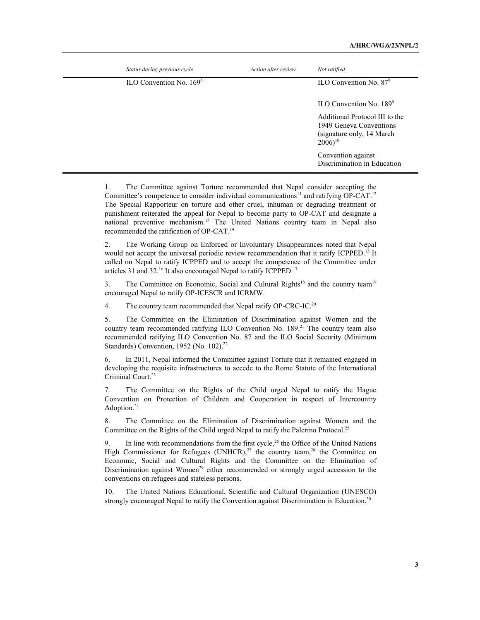| Status during previous cycle | Action after review | Not ratified                                                                                                    |
|------------------------------|---------------------|-----------------------------------------------------------------------------------------------------------------|
| ILO Convention No. $1696$    |                     | ILO Convention No. $878$                                                                                        |
|                              |                     | $\text{ILO}$ Convention No. 189 $\text{°}$                                                                      |
|                              |                     | Additional Protocol III to the<br>1949 Geneva Conventions<br>(signature only, 14 March)<br>$2006$ <sup>10</sup> |
|                              |                     | Convention against<br>Discrimination in Education                                                               |

1. The Committee against Torture recommended that Nepal consider accepting the Committee's competence to consider individual communications<sup>11</sup> and ratifying  $OP-CAT$ <sup>12</sup> The Special Rapporteur on torture and other cruel, inhuman or degrading treatment or punishment reiterated the appeal for Nepal to become party to OP-CAT and designate a national preventive mechanism.13 The United Nations country team in Nepal also recommended the ratification of OP-CAT.14

2. The Working Group on Enforced or Involuntary Disappearances noted that Nepal would not accept the universal periodic review recommendation that it ratify ICPPED.<sup>15</sup> It called on Nepal to ratify ICPPED and to accept the competence of the Committee under articles 31 and 32.16 It also encouraged Nepal to ratify ICPPED.17

3. The Committee on Economic, Social and Cultural Rights<sup>18</sup> and the country team<sup>19</sup> encouraged Nepal to ratify OP-ICESCR and ICRMW.

4. The country team recommended that Nepal ratify OP-CRC-IC.<sup>20</sup>

5. The Committee on the Elimination of Discrimination against Women and the country team recommended ratifying ILO Convention No. 189. <sup>21</sup> The country team also recommended ratifying ILO Convention No. 87 and the ILO Social Security (Minimum Standards) Convention, 1952 (No. 102).<sup>22</sup>

6. In 2011, Nepal informed the Committee against Torture that it remained engaged in developing the requisite infrastructures to accede to the Rome Statute of the International Criminal Court. 23

7. The Committee on the Rights of the Child urged Nepal to ratify the Hague Convention on Protection of Children and Cooperation in respect of Intercountry Adoption.<sup>24</sup>

8. The Committee on the Elimination of Discrimination against Women and the Committee on the Rights of the Child urged Nepal to ratify the Palermo Protocol.<sup>25</sup>

9. In line with recommendations from the first cycle,<sup>26</sup> the Office of the United Nations High Commissioner for Refugees (UNHCR), $^{27}$  the country team, $^{28}$  the Committee on Economic, Social and Cultural Rights and the Committee on the Elimination of Discrimination against Women<sup>29</sup> either recommended or strongly urged accession to the conventions on refugees and stateless persons*.*

10. The United Nations Educational, Scientific and Cultural Organization (UNESCO) strongly encouraged Nepal to ratify the Convention against Discrimination in Education.<sup>30</sup>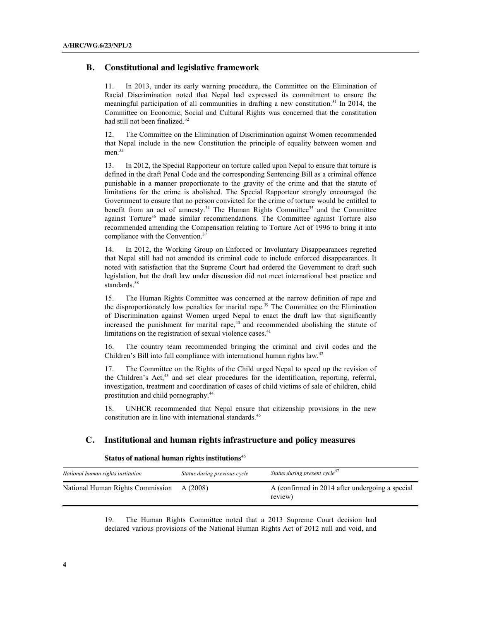# **B. Constitutional and legislative framework**

11. In 2013, under its early warning procedure, the Committee on the Elimination of Racial Discrimination noted that Nepal had expressed its commitment to ensure the meaningful participation of all communities in drafting a new constitution. <sup>31</sup> In 2014, the Committee on Economic, Social and Cultural Rights was concerned that the constitution had still not been finalized.<sup>32</sup>

The Committee on the Elimination of Discrimination against Women recommended that Nepal include in the new Constitution the principle of equality between women and men.<sup>33</sup>

13. In 2012, the Special Rapporteur on torture called upon Nepal to ensure that torture is defined in the draft Penal Code and the corresponding Sentencing Bill as a criminal offence punishable in a manner proportionate to the gravity of the crime and that the statute of limitations for the crime is abolished. The Special Rapporteur strongly encouraged the Government to ensure that no person convicted for the crime of torture would be entitled to benefit from an act of amnesty.<sup>34</sup> The Human Rights Committee<sup>35</sup> and the Committee against Torture<sup>36</sup> made similar recommendations. The Committee against Torture also recommended amending the Compensation relating to Torture Act of 1996 to bring it into compliance with the Convention.<sup>37</sup>

14. In 2012, the Working Group on Enforced or Involuntary Disappearances regretted that Nepal still had not amended its criminal code to include enforced disappearances. It noted with satisfaction that the Supreme Court had ordered the Government to draft such legislation, but the draft law under discussion did not meet international best practice and standards.<sup>38</sup>

15. The Human Rights Committee was concerned at the narrow definition of rape and the disproportionately low penalties for marital rape.<sup>39</sup> The Committee on the Elimination of Discrimination against Women urged Nepal to enact the draft law that significantly increased the punishment for marital rape, <sup>40</sup> and recommended abolishing the statute of limitations on the registration of sexual violence cases.<sup>41</sup>

16. The country team recommended bringing the criminal and civil codes and the Children's Bill into full compliance with international human rights law.<sup>42</sup>

17. The Committee on the Rights of the Child urged Nepal to speed up the revision of the Children's Act,<sup>43</sup> and set clear procedures for the identification, reporting, referral, investigation, treatment and coordination of cases of child victims of sale of children, child prostitution and child pornography.<sup>44</sup>

18. UNHCR recommended that Nepal ensure that citizenship provisions in the new constitution are in line with international standards.<sup>45</sup>

# **C. Institutional and human rights infrastructure and policy measures**

#### **Status of national human rights institutions**<sup>46</sup>

| National human rights institution | Status during previous cycle | Status during present cycle <sup>4/</sup>                  |
|-----------------------------------|------------------------------|------------------------------------------------------------|
| National Human Rights Commission  | A(2008)                      | A (confirmed in 2014 after undergoing a special<br>review) |

19. The Human Rights Committee noted that a 2013 Supreme Court decision had declared various provisions of the National Human Rights Act of 2012 null and void, and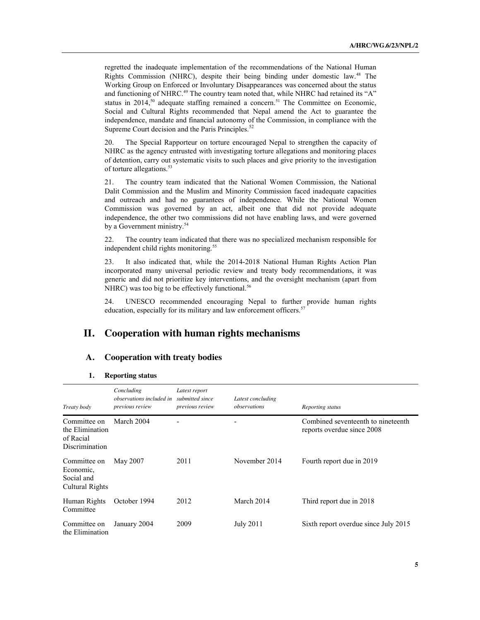regretted the inadequate implementation of the recommendations of the National Human Rights Commission (NHRC), despite their being binding under domestic law.<sup>48</sup> The Working Group on Enforced or Involuntary Disappearances was concerned about the status and functioning of NHRC.<sup>49</sup> The country team noted that, while NHRC had retained its "A" status in 2014,<sup>50</sup> adequate staffing remained a concern.<sup>51</sup> The Committee on Economic, Social and Cultural Rights recommended that Nepal amend the Act to guarantee the independence, mandate and financial autonomy of the Commission, in compliance with the Supreme Court decision and the Paris Principles.<sup>5</sup>

The Special Rapporteur on torture encouraged Nepal to strengthen the capacity of NHRC as the agency entrusted with investigating torture allegations and monitoring places of detention, carry out systematic visits to such places and give priority to the investigation of torture allegations.<sup>53</sup>

21. The country team indicated that the National Women Commission, the National Dalit Commission and the Muslim and Minority Commission faced inadequate capacities and outreach and had no guarantees of independence. While the National Women Commission was governed by an act, albeit one that did not provide adequate independence, the other two commissions did not have enabling laws, and were governed by a Government ministry.<sup>54</sup>

22. The country team indicated that there was no specialized mechanism responsible for independent child rights monitoring.<sup>55</sup>

23. It also indicated that, while the 2014-2018 National Human Rights Action Plan incorporated many universal periodic review and treaty body recommendations, it was generic and did not prioritize key interventions, and the oversight mechanism (apart from NHRC) was too big to be effectively functional.<sup>56</sup>

24. UNESCO recommended encouraging Nepal to further provide human rights education, especially for its military and law enforcement officers.<sup>57</sup>

# **II. Cooperation with human rights mechanisms**

# **A. Cooperation with treaty bodies**

#### **1. Reporting status**

| Treaty body                                                           | Concluding<br><i>observations included in</i><br>previous review | Latest report<br>submitted since<br>previous review | Latest concluding<br><i>observations</i> | Reporting status                                                 |
|-----------------------------------------------------------------------|------------------------------------------------------------------|-----------------------------------------------------|------------------------------------------|------------------------------------------------------------------|
| Committee on<br>the Elimination<br>of Racial<br><b>Discrimination</b> | March 2004                                                       |                                                     |                                          | Combined seventeenth to nineteenth<br>reports overdue since 2008 |
| Committee on<br>Economic,<br>Social and<br>Cultural Rights            | May 2007                                                         | 2011                                                | November 2014                            | Fourth report due in 2019                                        |
| Human Rights<br>Committee                                             | October 1994                                                     | 2012                                                | March 2014                               | Third report due in 2018                                         |
| Committee on<br>the Elimination                                       | January 2004                                                     | 2009                                                | <b>July 2011</b>                         | Sixth report overdue since July 2015                             |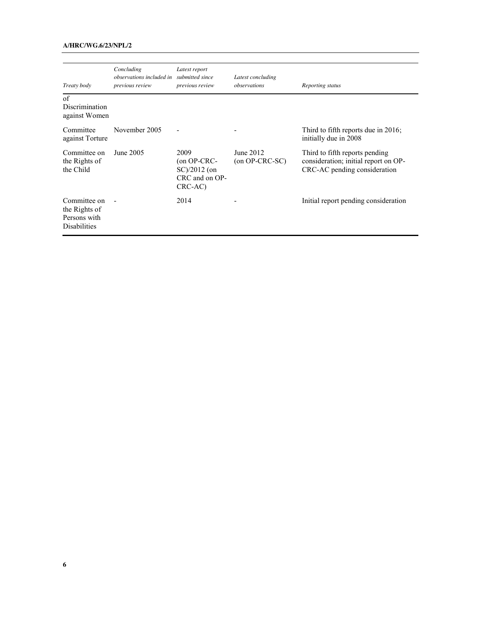# **A/HRC/WG.6/23/NPL/2**

|                                                                      | Concluding<br>observations included in submitted since | Latest report                                                         | Latest concluding<br>observations |                                                                                                        |
|----------------------------------------------------------------------|--------------------------------------------------------|-----------------------------------------------------------------------|-----------------------------------|--------------------------------------------------------------------------------------------------------|
| Treaty body                                                          | <i>previous review</i>                                 | <i>previous review</i>                                                |                                   | Reporting status                                                                                       |
| of<br><b>Discrimination</b><br>against Women                         |                                                        |                                                                       |                                   |                                                                                                        |
| Committee<br>against Torture                                         | November 2005                                          |                                                                       |                                   | Third to fifth reports due in $2016$ ;<br>initially due in 2008                                        |
| Committee on<br>the Rights of<br>the Child                           | June 2005                                              | 2009<br>$($ on OP-CRC-<br>$SC)/2012$ (on<br>CRC and on OP-<br>CRC-AC) | June 2012<br>$(on OP-CRC-SC)$     | Third to fifth reports pending<br>consideration; initial report on OP-<br>CRC-AC pending consideration |
| Committee on<br>the Rights of<br>Persons with<br><b>Disabilities</b> |                                                        | 2014                                                                  |                                   | Initial report pending consideration                                                                   |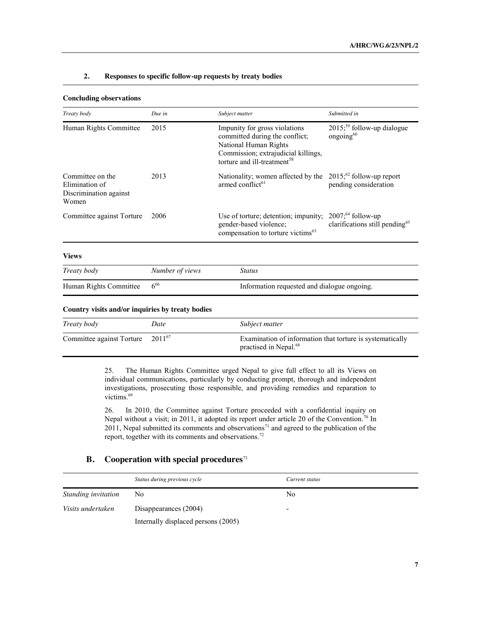#### **2. Responses to specific follow-up requests by treaty bodies**

| <b>Concluding observations</b>                                        |                 |                                                                                                                                                                            |                                                                             |
|-----------------------------------------------------------------------|-----------------|----------------------------------------------------------------------------------------------------------------------------------------------------------------------------|-----------------------------------------------------------------------------|
| Treaty body                                                           | Due in          | Subject matter                                                                                                                                                             | Submitted in                                                                |
| Human Rights Committee                                                | 2015            | Impunity for gross violations<br>committed during the conflict;<br>National Human Rights<br>Commission; extrajudicial killings,<br>torture and ill-treatment <sup>58</sup> | $2015$ <sup>59</sup> follow-up dialogue<br>ongoing $60$                     |
| Committee on the<br>Elimination of<br>Discrimination against<br>Women | 2013            | Nationality; women affected by the<br>armed conflict <sup>61</sup>                                                                                                         | $2015$ ; <sup>62</sup> follow-up report<br>pending consideration            |
| Committee against Torture                                             | 2006            | Use of torture; detention; impunity;<br>gender-based violence;<br>compensation to torture victims <sup>63</sup>                                                            | 2007; <sup>64</sup> follow-up<br>clarifications still pending <sup>65</sup> |
| <b>Views</b>                                                          |                 |                                                                                                                                                                            |                                                                             |
| Treaty body                                                           | Number of views | <b>Status</b>                                                                                                                                                              |                                                                             |
| Human Rights Committee                                                | $6^{66}$        | Information requested and dialogue ongoing.                                                                                                                                |                                                                             |
| Country visits and/or inquiries by treaty bodies                      |                 |                                                                                                                                                                            |                                                                             |
|                                                                       | $\mathbf{D}$    | $C_1, L_2, L_3, L_4, L_5, L_6, L_7, L_8, L_9, L_1, L_2, L_3, L_4, L_7$                                                                                                     |                                                                             |

| Treaty body               | Date        | Subject matter                                                                                 |
|---------------------------|-------------|------------------------------------------------------------------------------------------------|
| Committee against Torture | $2011^{67}$ | Examination of information that torture is systematically<br>practised in Nepal. <sup>68</sup> |

25. The Human Rights Committee urged Nepal to give full effect to all its Views on individual communications, particularly by conducting prompt, thorough and independent investigations, prosecuting those responsible, and providing remedies and reparation to victims.<sup>69</sup>

26. In 2010, the Committee against Torture proceeded with a confidential inquiry on Nepal without a visit; in 2011, it adopted its report under article 20 of the Convention.<sup>70</sup> In  $2011$ , Nepal submitted its comments and observations<sup>71</sup> and agreed to the publication of the report, together with its comments and observations.<sup>72</sup>

# **B. Cooperation with special procedures**<sup>73</sup>

|                     | Status during previous cycle        | Current status |  |
|---------------------|-------------------------------------|----------------|--|
| Standing invitation | No                                  | No             |  |
| Visits undertaken   | Disappearances (2004)               | -              |  |
|                     | Internally displaced persons (2005) |                |  |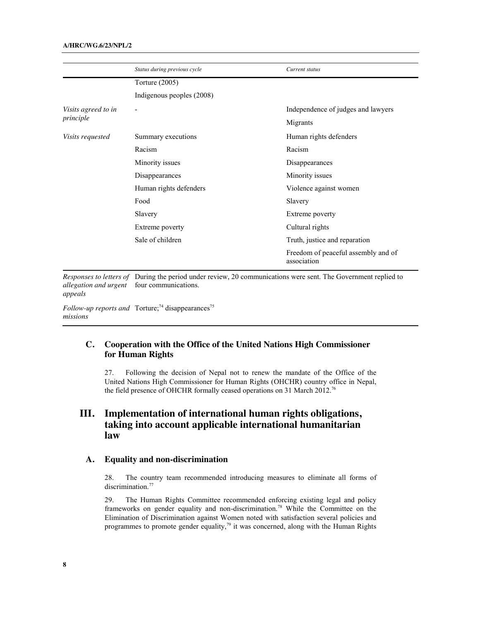|                     | Status during previous cycle | Current status                                     |
|---------------------|------------------------------|----------------------------------------------------|
|                     | Torture (2005)               |                                                    |
|                     | Indigenous peoples (2008)    |                                                    |
| Visits agreed to in | -                            | Independence of judges and lawyers                 |
| principle           |                              | Migrants                                           |
| Visits requested    | Summary executions           | Human rights defenders                             |
|                     | Racism                       | Racism                                             |
|                     | Minority issues              | Disappearances                                     |
|                     | Disappearances               | Minority issues                                    |
|                     | Human rights defenders       | Violence against women                             |
|                     | Food                         | Slavery                                            |
|                     | Slavery                      | Extreme poverty                                    |
|                     | Extreme poverty              | Cultural rights                                    |
|                     | Sale of children             | Truth, justice and reparation                      |
|                     |                              | Freedom of peaceful assembly and of<br>association |

*Responses to letters of allegation and urgent*  four communications. *appeals*

*Follow-up reports and* Torture;<sup>74</sup> disappearances<sup>75</sup> *missions* 

# **C. Cooperation with the Office of the United Nations High Commissioner for Human Rights**

27. Following the decision of Nepal not to renew the mandate of the Office of the United Nations High Commissioner for Human Rights (OHCHR) country office in Nepal, the field presence of OHCHR formally ceased operations on 31 March 2012.<sup>76</sup>

# **III. Implementation of international human rights obligations, taking into account applicable international humanitarian law**

# **A. Equality and non-discrimination**

28. The country team recommended introducing measures to eliminate all forms of discrimination.<sup>77</sup>

29. The Human Rights Committee recommended enforcing existing legal and policy frameworks on gender equality and non-discrimination.78 While the Committee on the Elimination of Discrimination against Women noted with satisfaction several policies and programmes to promote gender equality, $7<sup>9</sup>$  it was concerned, along with the Human Rights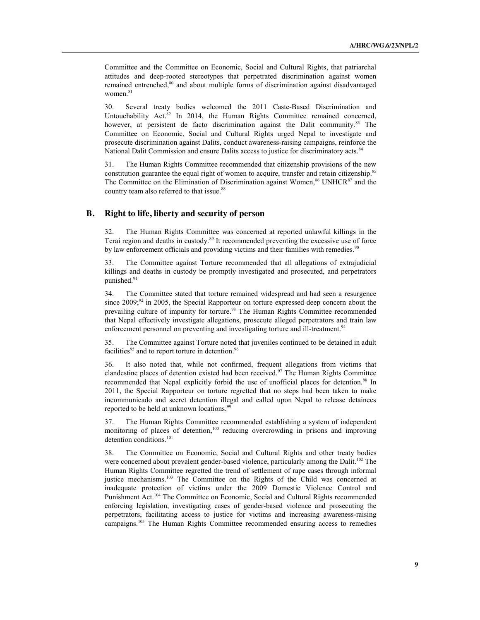Committee and the Committee on Economic, Social and Cultural Rights, that patriarchal attitudes and deep-rooted stereotypes that perpetrated discrimination against women remained entrenched,<sup>80</sup> and about multiple forms of discrimination against disadvantaged women.<sup>81</sup>

30. Several treaty bodies welcomed the 2011 Caste-Based Discrimination and Untouchability Act.<sup>82</sup> In 2014, the Human Rights Committee remained concerned, however, at persistent de facto discrimination against the Dalit community.<sup>83</sup> The Committee on Economic, Social and Cultural Rights urged Nepal to investigate and prosecute discrimination against Dalits, conduct awareness-raising campaigns, reinforce the National Dalit Commission and ensure Dalits access to justice for discriminatory acts.<sup>84</sup>

31. The Human Rights Committee recommended that citizenship provisions of the new constitution guarantee the equal right of women to acquire, transfer and retain citizenship.<sup>85</sup> The Committee on the Elimination of Discrimination against Women,<sup>86</sup> UNHCR<sup>87</sup> and the country team also referred to that issue.<sup>88</sup>

# **B. Right to life, liberty and security of person**

32. The Human Rights Committee was concerned at reported unlawful killings in the Terai region and deaths in custody.89 It recommended preventing the excessive use of force by law enforcement officials and providing victims and their families with remedies.<sup>90</sup>

The Committee against Torture recommended that all allegations of extrajudicial killings and deaths in custody be promptly investigated and prosecuted, and perpetrators punished.<sup>91</sup>

34. The Committee stated that torture remained widespread and had seen a resurgence since  $2009;^{92}$  in 2005, the Special Rapporteur on torture expressed deep concern about the prevailing culture of impunity for torture.<sup>93</sup> The Human Rights Committee recommended that Nepal effectively investigate allegations, prosecute alleged perpetrators and train law enforcement personnel on preventing and investigating torture and ill-treatment.<sup>94</sup>

35. The Committee against Torture noted that juveniles continued to be detained in adult facilities<sup>95</sup> and to report torture in detention.<sup>96</sup>

36. It also noted that, while not confirmed, frequent allegations from victims that clandestine places of detention existed had been received.97 The Human Rights Committee recommended that Nepal explicitly forbid the use of unofficial places for detention.<sup>98</sup> In 2011, the Special Rapporteur on torture regretted that no steps had been taken to make incommunicado and secret detention illegal and called upon Nepal to release detainees reported to be held at unknown locations.<sup>99</sup>

37. The Human Rights Committee recommended establishing a system of independent monitoring of places of detention,<sup>100</sup> reducing overcrowding in prisons and improving detention conditions.<sup>101</sup>

38. The Committee on Economic, Social and Cultural Rights and other treaty bodies were concerned about prevalent gender-based violence, particularly among the Dalit.<sup>102</sup> The Human Rights Committee regretted the trend of settlement of rape cases through informal justice mechanisms.<sup>103</sup> The Committee on the Rights of the Child was concerned at inadequate protection of victims under the 2009 Domestic Violence Control and Punishment Act.<sup>104</sup> The Committee on Economic, Social and Cultural Rights recommended enforcing legislation, investigating cases of gender-based violence and prosecuting the perpetrators, facilitating access to justice for victims and increasing awareness-raising campaigns. <sup>105</sup> The Human Rights Committee recommended ensuring access to remedies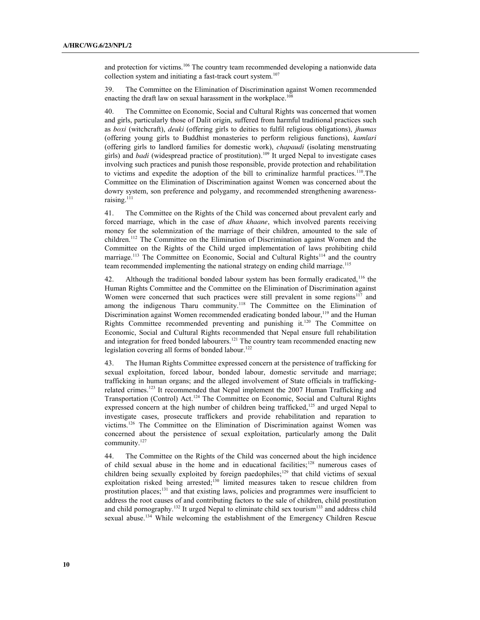and protection for victims.<sup>106</sup> The country team recommended developing a nationwide data collection system and initiating a fast-track court system.<sup>107</sup>

39. The Committee on the Elimination of Discrimination against Women recommended enacting the draft law on sexual harassment in the workplace. 108

The Committee on Economic, Social and Cultural Rights was concerned that women and girls, particularly those of Dalit origin, suffered from harmful traditional practices such as *boxi* (witchcraft), *deuki* (offering girls to deities to fulfil religious obligations), *jhumas*  (offering young girls to Buddhist monasteries to perform religious functions), *kamlari*  (offering girls to landlord families for domestic work), *chapaudi* (isolating menstruating girls) and *badi* (widespread practice of prostitution). <sup>109</sup> It urged Nepal to investigate cases involving such practices and punish those responsible, provide protection and rehabilitation to victims and expedite the adoption of the bill to criminalize harmful practices.110.The Committee on the Elimination of Discrimination against Women was concerned about the dowry system, son preference and polygamy, and recommended strengthening awarenessraising.<sup>111</sup>

41. The Committee on the Rights of the Child was concerned about prevalent early and forced marriage, which in the case of *dhan khaane*, which involved parents receiving money for the solemnization of the marriage of their children, amounted to the sale of children.112 The Committee on the Elimination of Discrimination against Women and the Committee on the Rights of the Child urged implementation of laws prohibiting child marriage.<sup>113</sup> The Committee on Economic, Social and Cultural Rights<sup>114</sup> and the country team recommended implementing the national strategy on ending child marriage.<sup>115</sup>

42. Although the traditional bonded labour system has been formally eradicated,<sup>116</sup> the Human Rights Committee and the Committee on the Elimination of Discrimination against Women were concerned that such practices were still prevalent in some regions<sup>117</sup> and among the indigenous Tharu community.<sup>118</sup> The Committee on the Elimination of Discrimination against Women recommended eradicating bonded labour,<sup>119</sup> and the Human Rights Committee recommended preventing and punishing it.<sup>120</sup> The Committee on Economic, Social and Cultural Rights recommended that Nepal ensure full rehabilitation and integration for freed bonded labourers.<sup>121</sup> The country team recommended enacting new legislation covering all forms of bonded labour.<sup>122</sup>

43. The Human Rights Committee expressed concern at the persistence of trafficking for sexual exploitation, forced labour, bonded labour, domestic servitude and marriage; trafficking in human organs; and the alleged involvement of State officials in traffickingrelated crimes.<sup>123</sup> It recommended that Nepal implement the 2007 Human Trafficking and Transportation (Control) Act.<sup>124</sup> The Committee on Economic, Social and Cultural Rights expressed concern at the high number of children being trafficked,<sup>125</sup> and urged Nepal to investigate cases, prosecute traffickers and provide rehabilitation and reparation to victims.126 The Committee on the Elimination of Discrimination against Women was concerned about the persistence of sexual exploitation, particularly among the Dalit community.<sup>127</sup>

44. The Committee on the Rights of the Child was concerned about the high incidence of child sexual abuse in the home and in educational facilities;128 numerous cases of children being sexually exploited by foreign paedophiles; <sup>129</sup> that child victims of sexual exploitation risked being arrested;<sup>130</sup> limited measures taken to rescue children from prostitution places;131 and that existing laws, policies and programmes were insufficient to address the root causes of and contributing factors to the sale of children, child prostitution and child pornography.<sup>132</sup> It urged Nepal to eliminate child sex tourism<sup>133</sup> and address child sexual abuse.<sup>134</sup> While welcoming the establishment of the Emergency Children Rescue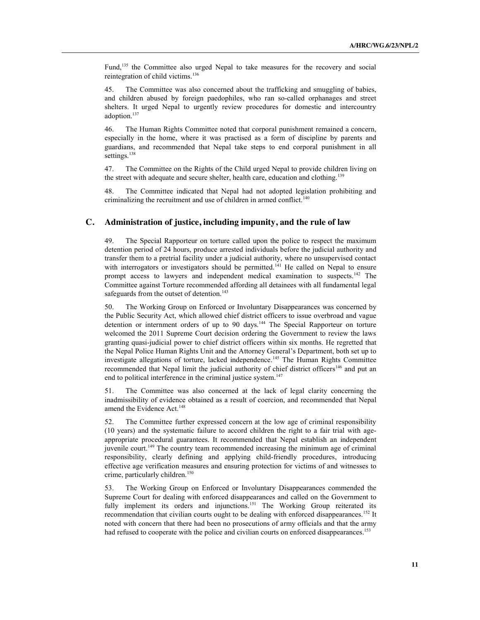Fund,<sup>135</sup> the Committee also urged Nepal to take measures for the recovery and social reintegration of child victims. 136

45. The Committee was also concerned about the trafficking and smuggling of babies, and children abused by foreign paedophiles, who ran so-called orphanages and street shelters. It urged Nepal to urgently review procedures for domestic and intercountry adoption.<sup>137</sup>

46. The Human Rights Committee noted that corporal punishment remained a concern, especially in the home, where it was practised as a form of discipline by parents and guardians, and recommended that Nepal take steps to end corporal punishment in all settings.<sup>138</sup>

47. The Committee on the Rights of the Child urged Nepal to provide children living on the street with adequate and secure shelter, health care, education and clothing.<sup>139</sup>

48. The Committee indicated that Nepal had not adopted legislation prohibiting and criminalizing the recruitment and use of children in armed conflict.<sup>140</sup>

# **C. Administration of justice, including impunity, and the rule of law**

49. The Special Rapporteur on torture called upon the police to respect the maximum detention period of 24 hours, produce arrested individuals before the judicial authority and transfer them to a pretrial facility under a judicial authority, where no unsupervised contact with interrogators or investigators should be permitted.<sup>141</sup> He called on Nepal to ensure prompt access to lawyers and independent medical examination to suspects.<sup>142</sup> The Committee against Torture recommended affording all detainees with all fundamental legal safeguards from the outset of detention.<sup>143</sup>

50. The Working Group on Enforced or Involuntary Disappearances was concerned by the Public Security Act, which allowed chief district officers to issue overbroad and vague detention or internment orders of up to 90 days.<sup>144</sup> The Special Rapporteur on torture welcomed the 2011 Supreme Court decision ordering the Government to review the laws granting quasi-judicial power to chief district officers within six months. He regretted that the Nepal Police Human Rights Unit and the Attorney General's Department, both set up to investigate allegations of torture, lacked independence.<sup>145</sup> The Human Rights Committee recommended that Nepal limit the judicial authority of chief district officers<sup>146</sup> and put an end to political interference in the criminal justice system.<sup>147</sup>

51. The Committee was also concerned at the lack of legal clarity concerning the inadmissibility of evidence obtained as a result of coercion, and recommended that Nepal amend the Evidence Act.<sup>148</sup>

52. The Committee further expressed concern at the low age of criminal responsibility (10 years) and the systematic failure to accord children the right to a fair trial with ageappropriate procedural guarantees. It recommended that Nepal establish an independent juvenile court.<sup>149</sup> The country team recommended increasing the minimum age of criminal responsibility, clearly defining and applying child-friendly procedures, introducing effective age verification measures and ensuring protection for victims of and witnesses to crime, particularly children.<sup>150</sup>

53. The Working Group on Enforced or Involuntary Disappearances commended the Supreme Court for dealing with enforced disappearances and called on the Government to fully implement its orders and injunctions.<sup>151</sup> The Working Group reiterated its recommendation that civilian courts ought to be dealing with enforced disappearances.<sup>152</sup> It noted with concern that there had been no prosecutions of army officials and that the army had refused to cooperate with the police and civilian courts on enforced disappearances.<sup>153</sup>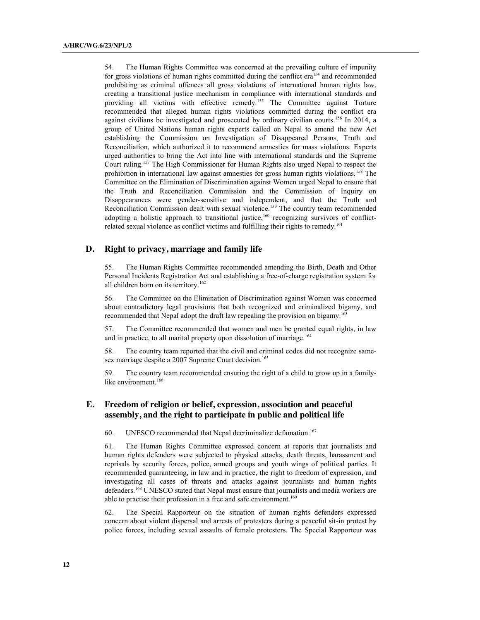54. The Human Rights Committee was concerned at the prevailing culture of impunity for gross violations of human rights committed during the conflict era<sup>154</sup> and recommended prohibiting as criminal offences all gross violations of international human rights law, creating a transitional justice mechanism in compliance with international standards and providing all victims with effective remedy.<sup>155</sup> The Committee against Torture recommended that alleged human rights violations committed during the conflict era against civilians be investigated and prosecuted by ordinary civilian courts.<sup>156</sup> In 2014, a group of United Nations human rights experts called on Nepal to amend the new Act establishing the Commission on Investigation of Disappeared Persons, Truth and Reconciliation, which authorized it to recommend amnesties for mass violations. Experts urged authorities to bring the Act into line with international standards and the Supreme Court ruling. <sup>157</sup> The High Commissioner for Human Rights also urged Nepal to respect the prohibition in international law against amnesties for gross human rights violations.<sup>158</sup> The Committee on the Elimination of Discrimination against Women urged Nepal to ensure that the Truth and Reconciliation Commission and the Commission of Inquiry on Disappearances were gender-sensitive and independent, and that the Truth and Reconciliation Commission dealt with sexual violence.<sup>159</sup> The country team recommended adopting a holistic approach to transitional justice,<sup>160</sup> recognizing survivors of conflictrelated sexual violence as conflict victims and fulfilling their rights to remedy.<sup>161</sup>

# **D. Right to privacy, marriage and family life**

55. The Human Rights Committee recommended amending the Birth, Death and Other Personal Incidents Registration Act and establishing a free-of-charge registration system for all children born on its territory. 162

56. The Committee on the Elimination of Discrimination against Women was concerned about contradictory legal provisions that both recognized and criminalized bigamy, and recommended that Nepal adopt the draft law repealing the provision on bigamy.<sup>163</sup>

57. The Committee recommended that women and men be granted equal rights, in law and in practice, to all marital property upon dissolution of marriage.<sup>164</sup>

58. The country team reported that the civil and criminal codes did not recognize samesex marriage despite a 2007 Supreme Court decision. 165

59. The country team recommended ensuring the right of a child to grow up in a familylike environment.<sup>166</sup>

# **E. Freedom of religion or belief, expression, association and peaceful assembly, and the right to participate in public and political life**

60. UNESCO recommended that Nepal decriminalize defamation. 167

61. The Human Rights Committee expressed concern at reports that journalists and human rights defenders were subjected to physical attacks, death threats, harassment and reprisals by security forces, police, armed groups and youth wings of political parties. It recommended guaranteeing, in law and in practice, the right to freedom of expression, and investigating all cases of threats and attacks against journalists and human rights defenders.<sup>168</sup> UNESCO stated that Nepal must ensure that journalists and media workers are able to practise their profession in a free and safe environment.<sup>169</sup>

62. The Special Rapporteur on the situation of human rights defenders expressed concern about violent dispersal and arrests of protesters during a peaceful sit-in protest by police forces, including sexual assaults of female protesters. The Special Rapporteur was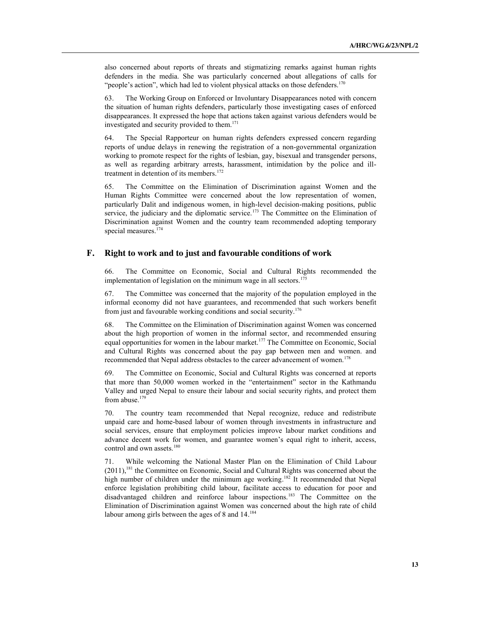also concerned about reports of threats and stigmatizing remarks against human rights defenders in the media. She was particularly concerned about allegations of calls for "people's action", which had led to violent physical attacks on those defenders.<sup>170</sup>

63. The Working Group on Enforced or Involuntary Disappearances noted with concern the situation of human rights defenders, particularly those investigating cases of enforced disappearances. It expressed the hope that actions taken against various defenders would be investigated and security provided to them. 171

64. The Special Rapporteur on human rights defenders expressed concern regarding reports of undue delays in renewing the registration of a non-governmental organization working to promote respect for the rights of lesbian, gay, bisexual and transgender persons, as well as regarding arbitrary arrests, harassment, intimidation by the police and illtreatment in detention of its members.<sup>172</sup>

65. The Committee on the Elimination of Discrimination against Women and the Human Rights Committee were concerned about the low representation of women, particularly Dalit and indigenous women, in high-level decision-making positions, public service, the judiciary and the diplomatic service.<sup>173</sup> The Committee on the Elimination of Discrimination against Women and the country team recommended adopting temporary special measures.<sup>174</sup>

# **F. Right to work and to just and favourable conditions of work**

66. The Committee on Economic, Social and Cultural Rights recommended the implementation of legislation on the minimum wage in all sectors.<sup>175</sup>

67. The Committee was concerned that the majority of the population employed in the informal economy did not have guarantees, and recommended that such workers benefit from just and favourable working conditions and social security.176

The Committee on the Elimination of Discrimination against Women was concerned about the high proportion of women in the informal sector, and recommended ensuring equal opportunities for women in the labour market.<sup>177</sup> The Committee on Economic, Social and Cultural Rights was concerned about the pay gap between men and women. and recommended that Nepal address obstacles to the career advancement of women.<sup>178</sup>

69. The Committee on Economic, Social and Cultural Rights was concerned at reports that more than 50,000 women worked in the "entertainment" sector in the Kathmandu Valley and urged Nepal to ensure their labour and social security rights, and protect them from abuse.<sup>179</sup>

The country team recommended that Nepal recognize, reduce and redistribute unpaid care and home-based labour of women through investments in infrastructure and social services, ensure that employment policies improve labour market conditions and advance decent work for women, and guarantee women's equal right to inherit, access, control and own assets.<sup>180</sup>

71. While welcoming the National Master Plan on the Elimination of Child Labour (2011),<sup>181</sup> the Committee on Economic, Social and Cultural Rights was concerned about the high number of children under the minimum age working.<sup>182</sup> It recommended that Nepal enforce legislation prohibiting child labour, facilitate access to education for poor and disadvantaged children and reinforce labour inspections.183 The Committee on the Elimination of Discrimination against Women was concerned about the high rate of child labour among girls between the ages of 8 and 14.<sup>184</sup>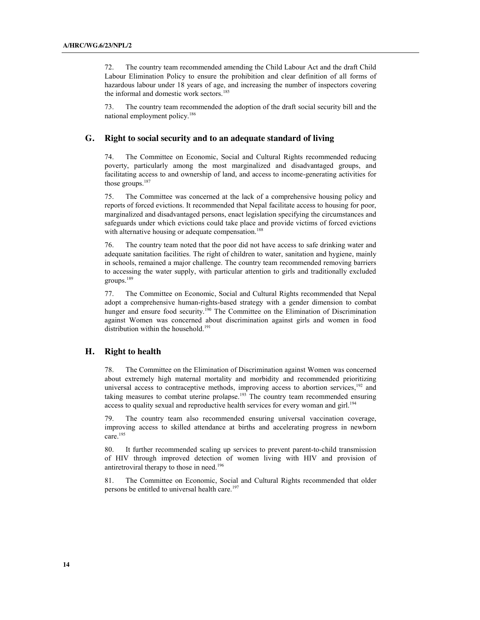72. The country team recommended amending the Child Labour Act and the draft Child Labour Elimination Policy to ensure the prohibition and clear definition of all forms of hazardous labour under 18 years of age, and increasing the number of inspectors covering the informal and domestic work sectors.<sup>185</sup>

73. The country team recommended the adoption of the draft social security bill and the national employment policy.<sup>186</sup>

# **G. Right to social security and to an adequate standard of living**

74. The Committee on Economic, Social and Cultural Rights recommended reducing poverty, particularly among the most marginalized and disadvantaged groups, and facilitating access to and ownership of land, and access to income-generating activities for those groups.187

75. The Committee was concerned at the lack of a comprehensive housing policy and reports of forced evictions. It recommended that Nepal facilitate access to housing for poor, marginalized and disadvantaged persons, enact legislation specifying the circumstances and safeguards under which evictions could take place and provide victims of forced evictions with alternative housing or adequate compensation.<sup>188</sup>

76. The country team noted that the poor did not have access to safe drinking water and adequate sanitation facilities. The right of children to water, sanitation and hygiene, mainly in schools, remained a major challenge. The country team recommended removing barriers to accessing the water supply, with particular attention to girls and traditionally excluded groups. 189

77. The Committee on Economic, Social and Cultural Rights recommended that Nepal adopt a comprehensive human-rights-based strategy with a gender dimension to combat hunger and ensure food security.<sup>190</sup> The Committee on the Elimination of Discrimination against Women was concerned about discrimination against girls and women in food distribution within the household. 191

#### **H. Right to health**

78. The Committee on the Elimination of Discrimination against Women was concerned about extremely high maternal mortality and morbidity and recommended prioritizing universal access to contraceptive methods, improving access to abortion services,<sup>192</sup> and taking measures to combat uterine prolapse.193 The country team recommended ensuring access to quality sexual and reproductive health services for every woman and girl.<sup>194</sup>

79. The country team also recommended ensuring universal vaccination coverage, improving access to skilled attendance at births and accelerating progress in newborn care.<sup>195</sup>

80. It further recommended scaling up services to prevent parent-to-child transmission of HIV through improved detection of women living with HIV and provision of antiretroviral therapy to those in need.196

81. The Committee on Economic, Social and Cultural Rights recommended that older persons be entitled to universal health care.<sup>197</sup>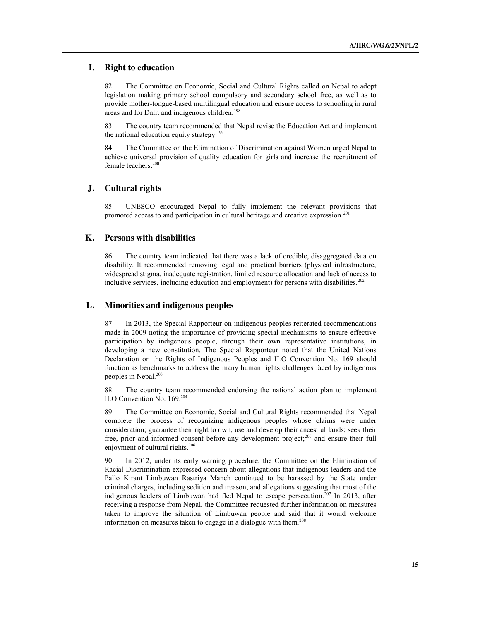#### **I. Right to education**

82. The Committee on Economic, Social and Cultural Rights called on Nepal to adopt legislation making primary school compulsory and secondary school free, as well as to provide mother-tongue-based multilingual education and ensure access to schooling in rural areas and for Dalit and indigenous children.<sup>198</sup>

83. The country team recommended that Nepal revise the Education Act and implement the national education equity strategy.<sup>199</sup>

84. The Committee on the Elimination of Discrimination against Women urged Nepal to achieve universal provision of quality education for girls and increase the recruitment of female teachers.200

#### **J. Cultural rights**

85. UNESCO encouraged Nepal to fully implement the relevant provisions that promoted access to and participation in cultural heritage and creative expression.<sup>201</sup>

#### **K. Persons with disabilities**

86. The country team indicated that there was a lack of credible, disaggregated data on disability. It recommended removing legal and practical barriers (physical infrastructure, widespread stigma, inadequate registration, limited resource allocation and lack of access to inclusive services, including education and employment) for persons with disabilities.<sup>202</sup>

# **L. Minorities and indigenous peoples**

87. In 2013, the Special Rapporteur on indigenous peoples reiterated recommendations made in 2009 noting the importance of providing special mechanisms to ensure effective participation by indigenous people, through their own representative institutions, in developing a new constitution. The Special Rapporteur noted that the United Nations Declaration on the Rights of Indigenous Peoples and ILO Convention No. 169 should function as benchmarks to address the many human rights challenges faced by indigenous peoples in Nepal.<sup>203</sup>

88. The country team recommended endorsing the national action plan to implement ILO Convention No. 169. 204

89. The Committee on Economic, Social and Cultural Rights recommended that Nepal complete the process of recognizing indigenous peoples whose claims were under consideration; guarantee their right to own, use and develop their ancestral lands; seek their free, prior and informed consent before any development project;<sup>205</sup> and ensure their full enjoyment of cultural rights.<sup>206</sup>

90. In 2012, under its early warning procedure, the Committee on the Elimination of Racial Discrimination expressed concern about allegations that indigenous leaders and the Pallo Kirant Limbuwan Rastriya Manch continued to be harassed by the State under criminal charges, including sedition and treason, and allegations suggesting that most of the indigenous leaders of Limbuwan had fled Nepal to escape persecution.<sup>207</sup> In 2013, after receiving a response from Nepal, the Committee requested further information on measures taken to improve the situation of Limbuwan people and said that it would welcome information on measures taken to engage in a dialogue with them.<sup>208</sup>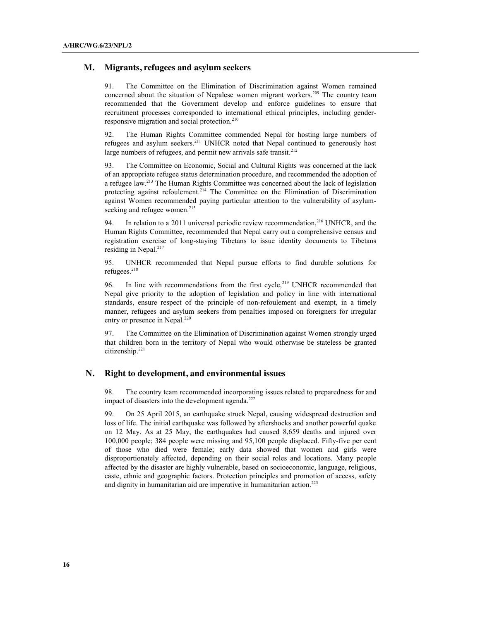#### **M. Migrants, refugees and asylum seekers**

91. The Committee on the Elimination of Discrimination against Women remained concerned about the situation of Nepalese women migrant workers.<sup>209</sup> The country team recommended that the Government develop and enforce guidelines to ensure that recruitment processes corresponded to international ethical principles, including genderresponsive migration and social protection.<sup>210</sup>

92. The Human Rights Committee commended Nepal for hosting large numbers of refugees and asylum seekers.211 UNHCR noted that Nepal continued to generously host large numbers of refugees, and permit new arrivals safe transit.<sup>212</sup>

93. The Committee on Economic, Social and Cultural Rights was concerned at the lack of an appropriate refugee status determination procedure, and recommended the adoption of a refugee law.213 The Human Rights Committee was concerned about the lack of legislation protecting against refoulement.<sup>214</sup> The Committee on the Elimination of Discrimination against Women recommended paying particular attention to the vulnerability of asylumseeking and refugee women.<sup>215</sup>

94. In relation to a 2011 universal periodic review recommendation,  $2^{16}$  UNHCR, and the Human Rights Committee, recommended that Nepal carry out a comprehensive census and registration exercise of long-staying Tibetans to issue identity documents to Tibetans residing in Nepal.<sup>217</sup>

95. UNHCR recommended that Nepal pursue efforts to find durable solutions for refugees.<sup>218</sup>

96. In line with recommendations from the first cycle,<sup>219</sup> UNHCR recommended that Nepal give priority to the adoption of legislation and policy in line with international standards, ensure respect of the principle of non-refoulement and exempt, in a timely manner, refugees and asylum seekers from penalties imposed on foreigners for irregular entry or presence in Nepal.<sup>220</sup>

97. The Committee on the Elimination of Discrimination against Women strongly urged that children born in the territory of Nepal who would otherwise be stateless be granted citizenship.<sup>221</sup>

#### **N. Right to development, and environmental issues**

98. The country team recommended incorporating issues related to preparedness for and impact of disasters into the development agenda.<sup>222</sup>

99. On 25 April 2015, an earthquake struck Nepal, causing widespread destruction and loss of life. The initial earthquake was followed by aftershocks and another powerful quake on 12 May. As at 25 May, the earthquakes had caused 8,659 deaths and injured over 100,000 people; 384 people were missing and 95,100 people displaced. Fifty-five per cent of those who died were female; early data showed that women and girls were disproportionately affected, depending on their social roles and locations. Many people affected by the disaster are highly vulnerable, based on socioeconomic, language, religious, caste, ethnic and geographic factors. Protection principles and promotion of access, safety and dignity in humanitarian aid are imperative in humanitarian action.<sup>223</sup>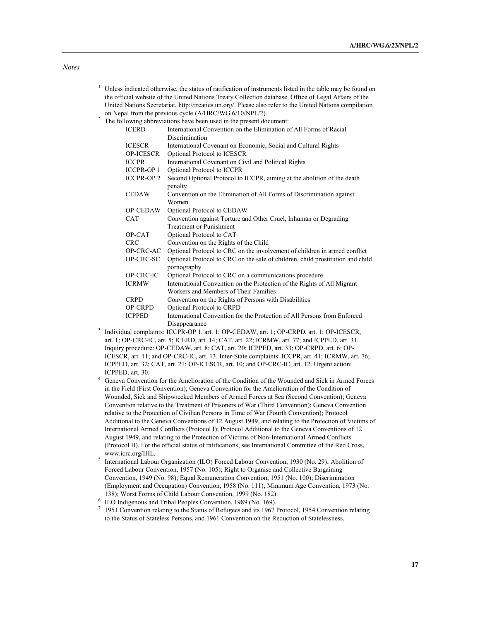| Unless indicated otherwise, the status of ratification of instruments listed in the table may be found on |
|-----------------------------------------------------------------------------------------------------------|
| the official website of the United Nations Treaty Collection database, Office of Legal Affairs of the     |
| United Nations Secretariat, http://treaties.un.org/. Please also refer to the United Nations compilation  |
| on Nepal from the previous cycle (A/HRC/WG.6/10/NPL/2).                                                   |

 $2^2$  The following abbreviations have been used in the present document:

| <b>ICERD</b>      | International Convention on the Elimination of All Forms of Racial                 |
|-------------------|------------------------------------------------------------------------------------|
|                   | Discrimination                                                                     |
| <b>ICESCR</b>     | International Covenant on Economic, Social and Cultural Rights                     |
| <b>OP-ICESCR</b>  | Optional Protocol to ICESCR                                                        |
| <b>ICCPR</b>      | International Covenant on Civil and Political Rights                               |
| <b>ICCPR-OP 1</b> | Optional Protocol to ICCPR                                                         |
| <b>ICCPR-OP 2</b> | Second Optional Protocol to ICCPR, aiming at the abolition of the death<br>penalty |
| <b>CEDAW</b>      | Convention on the Elimination of All Forms of Discrimination against<br>Women      |
| <b>OP-CEDAW</b>   | Optional Protocol to CEDAW                                                         |
| <b>CAT</b>        | Convention against Torture and Other Cruel, Inhuman or Degrading                   |
|                   | <b>Treatment or Punishment</b>                                                     |
| OP-CAT            | Optional Protocol to CAT                                                           |
| <b>CRC</b>        | Convention on the Rights of the Child                                              |
| OP-CRC-AC         | Optional Protocol to CRC on the involvement of children in armed conflict          |
| OP-CRC-SC         | Optional Protocol to CRC on the sale of children, child prostitution and child     |
|                   | pornography                                                                        |
| OP-CRC-IC         | Optional Protocol to CRC on a communications procedure                             |
| <b>ICRMW</b>      | International Convention on the Protection of the Rights of All Migrant            |
|                   | Workers and Members of Their Families                                              |
| <b>CRPD</b>       | Convention on the Rights of Persons with Disabilities                              |
| <b>OP-CRPD</b>    | Optional Protocol to CRPD                                                          |
| <b>ICPPED</b>     | International Convention for the Protection of All Persons from Enforced           |
|                   | Disappearance                                                                      |
|                   |                                                                                    |

- <sup>3</sup> Individual complaints: ICCPR-OP 1, art. 1; OP-CEDAW, art. 1; OP-CRPD, art. 1; OP-ICESCR, art. 1; OP-CRC-IC, art. 5; ICERD, art. 14; CAT, art. 22; ICRMW, art. 77; and ICPPED, art. 31. Inquiry procedure: OP-CEDAW, art. 8; CAT, art. 20; ICPPED, art. 33; OP-CRPD, art. 6; OP-ICESCR, art. 11; and OP-CRC-IC, art. 13. Inter-State complaints: ICCPR, art. 41; ICRMW, art. 76; ICPPED, art. 32; CAT, art. 21; OP-ICESCR, art. 10; and OP-CRC-IC, art. 12. Urgent action: ICPPED, art. 30.
- <sup>4</sup> Geneva Convention for the Amelioration of the Condition of the Wounded and Sick in Armed Forces in the Field (First Convention); Geneva Convention for the Amelioration of the Condition of Wounded, Sick and Shipwrecked Members of Armed Forces at Sea (Second Convention); Geneva Convention relative to the Treatment of Prisoners of War (Third Convention); Geneva Convention relative to the Protection of Civilian Persons in Time of War (Fourth Convention); Protocol Additional to the Geneva Conventions of 12 August 1949, and relating to the Protection of Victims of International Armed Conflicts (Protocol I); Protocol Additional to the Geneva Conventions of 12 August 1949, and relating to the Protection of Victims of Non-International Armed Conflicts (Protocol II). For the official status of ratifications, see International Committee of the Red Cross, www.icrc.org/IHL.
- <sup>5</sup> International Labour Organization (ILO) Forced Labour Convention, 1930 (No. 29); Abolition of Forced Labour Convention, 1957 (No. 105); Right to Organise and Collective Bargaining Convention, 1949 (No. 98); Equal Remuneration Convention, 1951 (No. 100); Discrimination (Employment and Occupation) Convention, 1958 (No. 111); Minimum Age Convention, 1973 (No. 138); Worst Forms of Child Labour Convention, 1999 (No. 182).
- <sup>6</sup> ILO Indigenous and Tribal Peoples Convention, 1989 (No. 169).
- <sup>7</sup> 1951 Convention relating to the Status of Refugees and its 1967 Protocol, 1954 Convention relating to the Status of Stateless Persons, and 1961 Convention on the Reduction of Statelessness.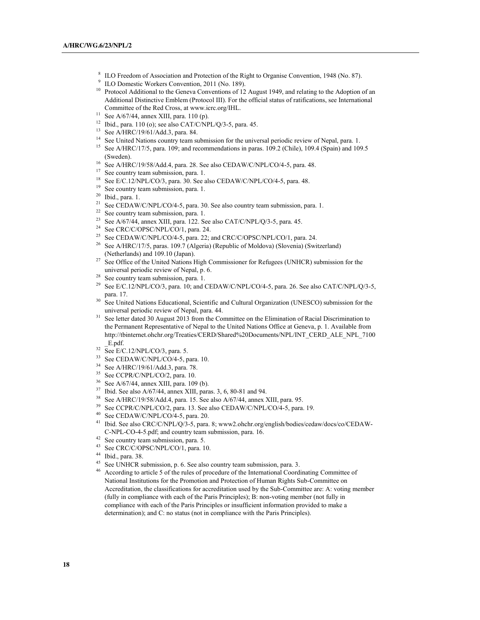- <sup>8</sup> ILO Freedom of Association and Protection of the Right to Organise Convention, 1948 (No. 87).
- <sup>9</sup> ILO Domestic Workers Convention, 2011 (No. 189).
- <sup>10</sup> Protocol Additional to the Geneva Conventions of 12 August 1949, and relating to the Adoption of an Additional Distinctive Emblem (Protocol III). For the official status of ratifications, see International Committee of the Red Cross, at www.icrc.org/IHL.
- <sup>11</sup> See A/67/44, annex XIII, para. 110 (p).
- <sup>12</sup> Ibid., para. 110 (o); see also CAT/C/NPL/Q/3-5, para. 45.
- <sup>13</sup> See A/HRC/19/61/Add.3, para. 84.
- <sup>14</sup> See United Nations country team submission for the universal periodic review of Nepal, para. 1.
- <sup>15</sup> See A/HRC/17/5, para. 109; and recommendations in paras. 109.2 (Chile), 109.4 (Spain) and 109.5 (Sweden).<br><sup>16</sup> See A/HRC/19/58/Add.4, para. 28. See also CEDAW/C/NPL/CO/4-5, para. 48.
- 
- <sup>17</sup> See country team submission, para. 1.
- <sup>18</sup> See E/C.12/NPL/CO/3, para. 30. See also CEDAW/C/NPL/CO/4-5, para. 48.
- <sup>19</sup> See country team submission, para. 1.
- <sup>20</sup> Ibid., para. 1.
- <sup>21</sup> See CEDAW/C/NPL/CO/4-5, para. 30. See also country team submission, para. 1.
- $22$  See country team submission, para. 1.
- <sup>23</sup> See A/67/44, annex XIII, para. 122. See also CAT/C/NPL/Q/3-5, para. 45.
- <sup>24</sup> See CRC/C/OPSC/NPL/CO/1, para. 24.
- <sup>25</sup> See CEDAW/C/NPL/CO/4-5, para. 22; and CRC/C/OPSC/NPL/CO/1, para. 24.
- <sup>26</sup> See A/HRC/17/5, paras. 109.7 (Algeria) (Republic of Moldova) (Slovenia) (Switzerland) (Netherlands) and 109.10 (Japan).
- <sup>27</sup> See Office of the United Nations High Commissioner for Refugees (UNHCR) submission for the universal periodic review of Nepal, p. 6.
- <sup>28</sup> See country team submission, para. 1.
- <sup>29</sup> See E/C.12/NPL/CO/3, para. 10; and CEDAW/C/NPL/CO/4-5, para. 26. See also CAT/C/NPL/O/3-5, para. 17.
- <sup>30</sup> See United Nations Educational, Scientific and Cultural Organization (UNESCO) submission for the universal periodic review of Nepal, para. 44.
- See letter dated 30 August 2013 from the Committee on the Elimination of Racial Discrimination to the Permanent Representative of Nepal to the United Nations Office at Geneva, p. 1. Available from http://tbinternet.ohchr.org/Treaties/CERD/Shared%20Documents/NPL/INT\_CERD\_ALE\_NPL\_7100 \_E.pdf.
- $32 \overline{^2}$  See E/C.12/NPL/CO/3, para. 5.
- <sup>33</sup> See CEDAW/C/NPL/CO/4-5, para. 10.
- <sup>34</sup> See A/HRC/19/61/Add.3, para. 78.
- 
- <sup>35</sup> See CCPR/C/NPL/CO/2, para. 10.<br><sup>36</sup> See A/67/44, annex XIII, para. 109 (b).
- $37$  Ibid. See also A/67/44, annex XIII, paras. 3, 6, 80-81 and 94.
- <sup>38</sup> See A/HRC/19/58/Add.4, para. 15. See also A/67/44, annex XIII, para. 95.
- <sup>39</sup> See CCPR/C/NPL/CO/2, para. 13. See also CEDAW/C/NPL/CO/4-5, para. 19.
- $40$  See CEDAW/C/NPL/CO/4-5, para. 20.
- <sup>41</sup> Ibid. See also CRC/C/NPL/Q/3-5, para. 8; www2.ohchr.org/english/bodies/cedaw/docs/co/CEDAW-C-NPL-CO-4-5.pdf; and country team submission, para. 16.
- <sup>42</sup> See country team submission, para. 5.
- 43 See CRC/C/OPSC/NPL/CO/1, para. 10.
- $^{44}$  Ibid., para. 38.<br> $^{45}$  See UNHCR st
- See UNHCR submission, p. 6. See also country team submission, para. 3.
- <sup>46</sup> According to article 5 of the rules of procedure of the International Coordinating Committee of National Institutions for the Promotion and Protection of Human Rights Sub-Committee on Accreditation, the classifications for accreditation used by the Sub-Committee are: A: voting member (fully in compliance with each of the Paris Principles); B: non-voting member (not fully in compliance with each of the Paris Principles or insufficient information provided to make a determination); and C: no status (not in compliance with the Paris Principles).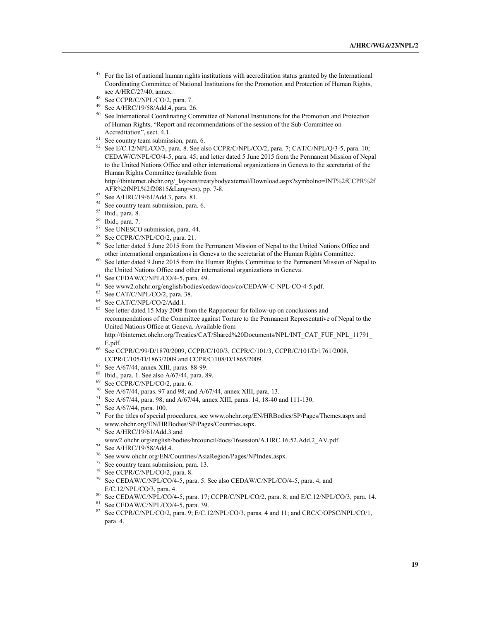- <sup>47</sup> For the list of national human rights institutions with accreditation status granted by the International Coordinating Committee of National Institutions for the Promotion and Protection of Human Rights, see A/HRC/27/40, annex.
- 48 See CCPR/C/NPL/CO/2, para. 7.
- <sup>49</sup> See A/HRC/19/58/Add.4, para. 26.<br> $^{50}$  See International Coordinating Cor-
- See International Coordinating Committee of National Institutions for the Promotion and Protection of Human Rights, "Report and recommendations of the session of the Sub-Committee on Accreditation", sect. 4.1.
- <sup>51</sup> See country team submission, para. 6.
- $52$  See E/C.12/NPL/CO/3, para. 8. See also CCPR/C/NPL/CO/2, para. 7; CAT/C/NPL/Q/3-5, para. 10; CEDAW/C/NPL/CO/4-5, para. 45; and letter dated 5 June 2015 from the Permanent Mission of Nepal to the United Nations Office and other international organizations in Geneva to the secretariat of the Human Rights Committee (available from

http://tbinternet.ohchr.org/\_layouts/treatybodyexternal/Download.aspx?symbolno=INT%2fCCPR%2f AFR%2fNPL%2f20815&Lang=en), pp. 7-8.

- <sup>53</sup> See A/HRC/19/61/Add.3, para. 81.
- <sup>54</sup> See country team submission, para. 6.
- <sup>55</sup> Ibid., para. 8.
- <sup>56</sup> Ibid., para. 7.
- <sup>57</sup> See UNESCO submission, para. 44.
- <sup>58</sup> See CCPR/C/NPL/CO/2, para. 21.<br> $^{59}$  See letter dated 5 June 2015 from t
- See letter dated 5 June 2015 from the Permanent Mission of Nepal to the United Nations Office and other international organizations in Geneva to the secretariat of the Human Rights Committee.
- <sup>60</sup> See letter dated 9 June 2015 from the Human Rights Committee to the Permanent Mission of Nepal to the United Nations Office and other international organizations in Geneva.
- $61$  See CEDAW/C/NPL/CO/4-5, para. 49.
- <sup>62</sup> See www2.ohchr.org/english/bodies/cedaw/docs/co/CEDAW-C-NPL-CO-4-5.pdf.
- $63$  See CAT/C/NPL/CO/2, para. 38.
- $^{64}$  See CAT/C/NPL/CO/2/Add.1.
- See letter dated 15 May 2008 from the Rapporteur for follow-up on conclusions and recommendations of the Committee against Torture to the Permanent Representative of Nepal to the United Nations Office at Geneva. Available from http://tbinternet.ohchr.org/Treaties/CAT/Shared%20Documents/NPL/INT\_CAT\_FUF\_NPL\_11791\_ E.pdf.
- <sup>66</sup> See CCPR/C/99/D/1870/2009, CCPR/C/100/3, CCPR/C/101/3, CCPR/C/101/D/1761/2008, CCPR/C/105/D/1863/2009 and CCPR/C/108/D/1865/2009.<br><sup>67</sup> See A/67/44, annex XIII, paras. 88-99.
- 
- 
- 
- <sup>68</sup> Ibid., para. 1. See also A/67/44, para. 89.<br><sup>69</sup> See CCPR/C/NPL/CO/2, para. 6.<br><sup>70</sup> See A/67/44, paras. 97 and 98; and A/67/44, annex XIII, para. 13.
- <sup>71</sup> See A/67/44, para. 98; and A/67/44, annex XIII, paras. 14, 18-40 and 111-130.<br><sup>72</sup> See A/67/44, para. 100.
- 
- $^{73}$  For the titles of special procedures, see www.ohchr.org/EN/HRBodies/SP/Pages/Themes.aspx and www.ohchr.org/EN/HRBodies/SP/Pages/Countries.aspx.
- <sup>74</sup> See A/HRC/19/61/Add.3 and
- www2.ohchr.org/english/bodies/hrcouncil/docs/16session/A.HRC.16.52.Add.2\_AV.pdf.
- <sup>75</sup> See A/HRC/19/58/Add.4.
- <sup>76</sup> See www.ohchr.org/EN/Countries/AsiaRegion/Pages/NPIndex.aspx.<br><sup>77</sup> See country team submission, page 13.
- See country team submission, para. 13.
- <sup>78</sup> See CCPR/C/NPL/CO/2, para. 8.
- <sup>79</sup> See CEDAW/C/NPL/CO/4-5, para. 5. See also CEDAW/C/NPL/CO/4-5, para. 4; and E/C.12/NPL/CO/3, para. 4.
- <sup>80</sup> See CEDAW/C/NPL/CO/4-5, para. 17; CCPR/C/NPL/CO/2, para. 8; and E/C.12/NPL/CO/3, para. 14.
- $81$  See CEDAW/C/NPL/CO/4-5, para. 39.
- <sup>82</sup> See CCPR/C/NPL/CO/2, para. 9; E/C.12/NPL/CO/3, paras. 4 and 11; and CRC/C/OPSC/NPL/CO/1, para. 4.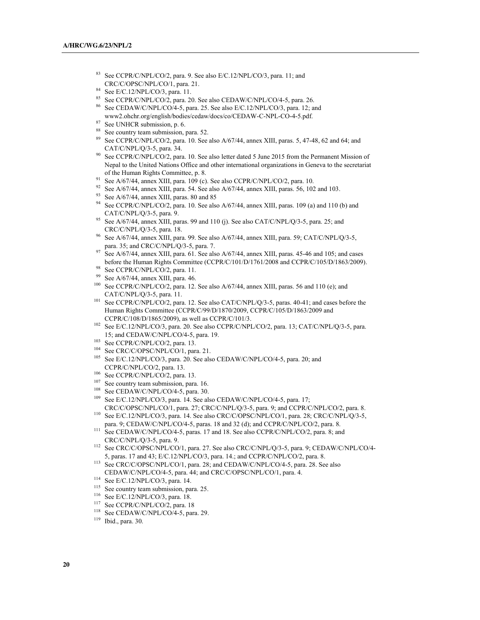- See CCPR/C/NPL/CO/2, para. 9. See also E/C.12/NPL/CO/3, para. 11; and CRC/C/OPSC/NPL/CO/1, para. 21.
- $84$  See E/C.12/NPL/CO/3, para. 11.
- <sup>85</sup> See CCPR/C/NPL/CO/2, para. 20. See also CEDAW/C/NPL/CO/4-5, para. 26.
- <sup>86</sup> See CEDAW/C/NPL/CO/4-5, para. 25. See also E/C.12/NPL/CO/3, para. 12; and www2.ohchr.org/english/bodies/cedaw/docs/co/CEDAW-C-NPL-CO-4-5.pdf.
- <sup>87</sup> See UNHCR submission, p. 6.
- <sup>88</sup> See country team submission, para. 52.
- <sup>89</sup> See CCPR/C/NPL/CO/2, para. 10. See also A/67/44, annex XIII, paras. 5, 47-48, 62 and 64; and CAT/C/NPL/Q/3-5, para. 34.
- <sup>90</sup> See CCPR/C/NPL/CO/2, para. 10. See also letter dated 5 June 2015 from the Permanent Mission of Nepal to the United Nations Office and other international organizations in Geneva to the secretariat of the Human Rights Committee, p. 8.
- <sup>91</sup> See A/67/44, annex XIII, para. 109 (c). See also CCPR/C/NPL/CO/2, para. 10.
- <sup>92</sup> See A/67/44, annex XIII, para. 54. See also A/67/44, annex XIII, paras. 56, 102 and 103.
- <sup>93</sup> See A/67/44, annex XIII, paras. 80 and 85
- <sup>94</sup> See CCPR/C/NPL/CO/2, para. 10. See also A/67/44, annex XIII, paras. 109 (a) and 110 (b) and CAT/C/NPL/Q/3-5, para. 9.
- <sup>95</sup> See A/67/44, annex XIII, paras. 99 and 110 (j). See also CAT/C/NPL/Q/3-5, para. 25; and CRC/C/NPL/Q/3-5, para. 18.
- <sup>96</sup> See A/67/44, annex XIII, para. 99. See also A/67/44, annex XIII, para. 59; CAT/C/NPL/Q/3-5, para. 35; and CRC/C/NPL/Q/3-5, para. 7.
- <sup>97</sup> See A/67/44, annex XIII, para. 61. See also A/67/44, annex XIII, paras. 45-46 and 105; and cases before the Human Rights Committee (CCPR/C/101/D/1761/2008 and CCPR/C/105/D/1863/2009).
- <sup>98</sup> See CCPR/C/NPL/CO/2, para. 11.<br><sup>99</sup> See A/67/44, appex XIII, para. 46.
- See A/67/44, annex XIII, para. 46.
- <sup>100</sup> See CCPR/C/NPL/CO/2, para. 12. See also A/67/44, annex XIII, paras. 56 and 110 (e); and CAT/C/NPL/Q/3-5, para. 11.
- <sup>101</sup> See CCPR/C/NPL/CO/2, para. 12. See also CAT/C/NPL/Q/3-5, paras. 40-41; and cases before the Human Rights Committee (CCPR/C/99/D/1870/2009, CCPR/C/105/D/1863/2009 and CCPR/C/108/D/1865/2009), as well as CCPR/C/101/3.
- <sup>102</sup> See E/C.12/NPL/CO/3, para. 20. See also CCPR/C/NPL/CO/2, para. 13; CAT/C/NPL/Q/3-5, para. 15; and CEDAW/C/NPL/CO/4-5, para. 19.
- <sup>103</sup> See CCPR/C/NPL/CO/2, para. 13.
- <sup>104</sup> See CRC/C/OPSC/NPL/CO/1, para. 21.
- <sup>105</sup> See E/C.12/NPL/CO/3, para. 20. See also CEDAW/C/NPL/CO/4-5, para. 20; and CCPR/C/NPL/CO/2, para. 13.
- <sup>106</sup> See CCPR/C/NPL/CO/2, para. 13.
- <sup>107</sup> See country team submission, para. 16.
- <sup>108</sup> See CEDAW/C/NPL/CO/4-5, para. 30.
- <sup>109</sup> See E/C.12/NPL/CO/3, para. 14. See also CEDAW/C/NPL/CO/4-5, para. 17; CRC/C/OPSC/NPL/CO/1, para. 27; CRC/C/NPL/Q/3-5, para. 9; and CCPR/C/NPL/CO/2, para. 8.
- <sup>110</sup> See E/C.12/NPL/CO/3, para. 14. See also CRC/C/OPSC/NPL/CO/1, para. 28; CRC/C/NPL/Q/3-5, para. 9; CEDAW/C/NPL/CO/4-5, paras. 18 and 32 (d); and CCPR/C/NPL/CO/2, para. 8.
- <sup>111</sup> See CEDAW/C/NPL/CO/4-5, paras. 17 and 18. See also CCPR/C/NPL/CO/2, para. 8; and CRC/C/NPL/Q/3-5, para. 9.
- <sup>112</sup> See CRC/C/OPSC/NPL/CO/1, para. 27. See also CRC/C/NPL/Q/3-5, para. 9; CEDAW/C/NPL/CO/4-5, paras. 17 and 43; E/C.12/NPL/CO/3, para. 14.; and CCPR/C/NPL/CO/2, para. 8.
- <sup>113</sup> See CRC/C/OPSC/NPL/CO/1, para. 28; and CEDAW/C/NPL/CO/4-5, para. 28. See also CEDAW/C/NPL/CO/4-5, para. 44; and CRC/C/OPSC/NPL/CO/1, para. 4.
- <sup>114</sup> See E/C.12/NPL/CO/3, para. 14.
- <sup>115</sup> See country team submission, para. 25.
- <sup>116</sup> See E/C.12/NPL/CO/3, para. 18.<br><sup>117</sup> See CCPP/C/NPL/CO/2, para. 15
- 
- <sup>117</sup> See CCPR/C/NPL/CO/2, para. 18<br><sup>118</sup> See CEDAW/C/NPL/CO/4-5, para. 29.
- <sup>119</sup> Ibid., para. 30.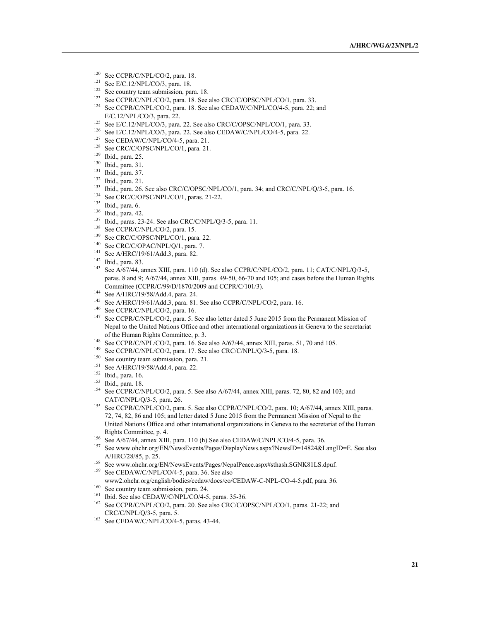- <sup>120</sup> See CCPR/C/NPL/CO/2, para. 18.
- See E/C.12/NPL/CO/3, para. 18.
- <sup>122</sup> See country team submission, para. 18.
- <sup>123</sup> See CCPR/C/NPL/CO/2, para. 18. See also CRC/C/OPSC/NPL/CO/1, para. 33.
- <sup>124</sup> See CCPR/C/NPL/CO/2, para. 18. See also CEDAW/C/NPL/CO/4-5, para. 22; and E/C.12/NPL/CO/3, para. 22.
- <sup>125</sup> See E/C.12/NPL/CO/3, para. 22. See also CRC/C/OPSC/NPL/CO/1, para. 33.
- <sup>126</sup> See E/C.12/NPL/CO/3, para. 22. See also CEDAW/C/NPL/CO/4-5, para. 22.
- <sup>127</sup> See CEDAW/C/NPL/CO/4-5, para. 21.
- <sup>128</sup> See CRC/C/OPSC/NPL/CO/1, para. 21.
- <sup>129</sup> Ibid., para. 25.
- <sup>130</sup> Ibid., para. 31.
- <sup>131</sup> Ibid., para. 37.
- <sup>132</sup> Ibid., para. 21.
- <sup>133</sup> Ibid., para. 26. See also CRC/C/OPSC/NPL/CO/1, para. 34; and CRC/C/NPL/Q/3-5, para. 16.
- <sup>134</sup> See CRC/C/OPSC/NPL/CO/1, paras. 21-22.
- <sup>135</sup> Ibid., para. 6.
- $136$  Ibid., para. 42.
- <sup>137</sup> Ibid., paras. 23-24. See also CRC/C/NPL/Q/3-5, para. 11.
- <sup>138</sup> See CCPR/C/NPL/CO/2, para. 15.
- <sup>139</sup> See CRC/C/OPSC/NPL/CO/1, para. 22.
- <sup>140</sup> See CRC/C/OPAC/NPL/Q/1, para. 7.
- <sup>141</sup> See A/HRC/19/61/Add.3, para. 82.
- <sup>142</sup> Ibid., para. 83.
- <sup>143</sup> See A/67/44, annex XIII, para. 110 (d). See also CCPR/C/NPL/CO/2, para. 11; CAT/C/NPL/Q/3-5, paras. 8 and 9; A/67/44, annex XIII, paras. 49-50, 66-70 and 105; and cases before the Human Rights Committee (CCPR/C/99/D/1870/2009 and CCPR/C/101/3).
- <sup>144</sup> See A/HRC/19/58/Add.4, para. 24.
- <sup>145</sup> See A/HRC/19/61/Add.3, para. 81. See also CCPR/C/NPL/CO/2, para. 16.
- <sup>146</sup> See CCPR/C/NPL/CO/2, para. 16.<br><sup>147</sup> See CCPP/C/NPL/CO/2, para. 5.8
- See CCPR/C/NPL/CO/2, para. 5. See also letter dated 5 June 2015 from the Permanent Mission of Nepal to the United Nations Office and other international organizations in Geneva to the secretariat of the Human Rights Committee, p. 3.
- <sup>148</sup> See CCPR/C/NPL/CO/2, para. 16. See also A/67/44, annex XIII, paras. 51, 70 and 105.
- <sup>149</sup> See CCPR/C/NPL/CO/2, para. 17. See also CRC/C/NPL/Q/3-5, para. 18.
- <sup>150</sup> See country team submission, para. 21.
- <sup>151</sup> See A/HRC/19/58/Add.4, para. 22.
- <sup>152</sup> Ibid., para. 16.
- <sup>153</sup> Ibid., para. 18.
- <sup>154</sup> See CCPR/C/NPL/CO/2, para. 5. See also A/67/44, annex XIII, paras. 72, 80, 82 and 103; and CAT/C/NPL/Q/3-5, para. 26.
- <sup>155</sup> See CCPR/C/NPL/CO/2, para. 5. See also CCPR/C/NPL/CO/2, para. 10; A/67/44, annex XIII, paras. 72, 74, 82, 86 and 105; and letter dated 5 June 2015 from the Permanent Mission of Nepal to the United Nations Office and other international organizations in Geneva to the secretariat of the Human Rights Committee, p. 4.
- <sup>156</sup> See A/67/44, annex XIII, para. 110 (h). See also CEDAW/C/NPL/CO/4-5, para. 36.<br><sup>157</sup> See www.ekshp.org/EM/NaugEusta/Bease/DisplayMaug.com/NaugID=14824.e.
- <sup>157</sup> See www.ohchr.org/EN/NewsEvents/Pages/DisplayNews.aspx?NewsID=14824&LangID=E. See also A/HRC/28/85, p. 25.
- <sup>158</sup> See www.ohchr.org/EN/NewsEvents/Pages/NepalPeace.aspx#sthash.SGNK81LS.dpuf.
- <sup>159</sup> See CEDAW/C/NPL/CO/4-5, para. 36. See also
- www2.ohchr.org/english/bodies/cedaw/docs/co/CEDAW-C-NPL-CO-4-5.pdf, para. 36.
- <sup>160</sup> See country team submission, para. 24.
- <sup>161</sup> Ibid. See also CEDAW/C/NPL/CO/4-5, paras. 35-36.
- <sup>162</sup> See CCPR/C/NPL/CO/2, para. 20. See also CRC/C/OPSC/NPL/CO/1, paras. 21-22; and CRC/C/NPL/Q/3-5, para. 5.
- <sup>163</sup> See CEDAW/C/NPL/CO/4-5, paras. 43-44.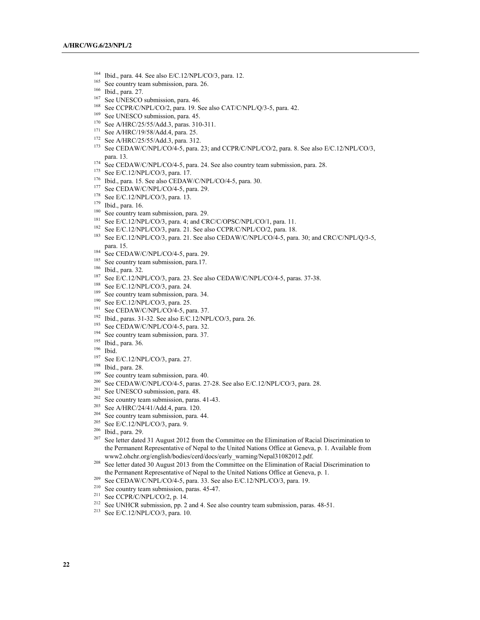- <sup>164</sup> Ibid., para. 44. See also E/C.12/NPL/CO/3, para. 12.
- See country team submission, para. 26.
- <sup>166</sup> Ibid., para. 27.
- <sup>167</sup> See UNESCO submission, para. 46.
- <sup>168</sup> See CCPR/C/NPL/CO/2, para. 19. See also CAT/C/NPL/Q/3-5, para. 42.
- <sup>169</sup> See UNESCO submission, para. 45.
- <sup>170</sup> See A/HRC/25/55/Add.3, paras. 310-311.
- <sup>171</sup> See A/HRC/19/58/Add.4, para. 25.
- <sup>172</sup> See A/HRC/25/55/Add.3, para. 312.
- <sup>173</sup> See CEDAW/C/NPL/CO/4-5, para. 23; and CCPR/C/NPL/CO/2, para. 8. See also E/C.12/NPL/CO/3, para. 13.
- <sup>174</sup> See CEDAW/C/NPL/CO/4-5, para. 24. See also country team submission, para. 28.
- <sup>175</sup> See E/C.12/NPL/CO/3, para. 17.
- <sup>176</sup> Ibid., para. 15. See also CEDAW/C/NPL/CO/4-5, para. 30.
- <sup>177</sup> See CEDAW/C/NPL/CO/4-5, para. 29.
- <sup>178</sup> See E/C.12/NPL/CO/3, para. 13.
- <sup>179</sup> Ibid., para. 16.
- <sup>180</sup> See country team submission, para. 29.
- <sup>181</sup> See E/C.12/NPL/CO/3, para. 4; and CRC/C/OPSC/NPL/CO/1, para. 11.
- <sup>182</sup> See E/C.12/NPL/CO/3, para. 21. See also CCPR/C/NPL/CO/2, para. 18.
- <sup>183</sup> See E/C.12/NPL/CO/3, para. 21. See also CEDAW/C/NPL/CO/4-5, para. 30; and CRC/C/NPL/Q/3-5, para. 15.
- <sup>184</sup> See CEDAW/C/NPL/CO/4-5, para. 29.<br><sup>185</sup> See country team submission, para 17.
- <sup>185</sup> See country team submission, para.17.<br><sup>186</sup> Ibid. para.<sup>32</sup>
- $^{186}$  Ibid., para. 32.
- See E/C.12/NPL/CO/3, para. 23. See also CEDAW/C/NPL/CO/4-5, paras. 37-38.
- <sup>188</sup> See E/C.12/NPL/CO/3, para. 24.
- <sup>189</sup> See country team submission, para. 34.
- <sup>190</sup> See E/C.12/NPL/CO/3, para. 25.
- <sup>191</sup> See CEDAW/C/NPL/CO/4-5, para. 37.
- <sup>192</sup> Ibid., paras. 31-32. See also E/C.12/NPL/CO/3, para. 26.<br><sup>193</sup> See CEDAW/C/NPL/CO/4-5, para. 32.
- 
- $194$  See country team submission, para. 37.
- <sup>195</sup> Ibid., para. 36.
- <sup>196</sup> Ibid.
- <sup>197</sup> See E/C.12/NPL/CO/3, para. 27.<br><sup>198</sup> Ibid., para. 28.
- 
- $199$  See country team submission, para. 40.
- <sup>200</sup> See CEDAW/C/NPL/CO/4-5, paras. 27-28. See also E/C.12/NPL/CO/3, para. 28.
- <sup>201</sup> See UNESCO submission, para. 48.
- <sup>202</sup> See country team submission, paras. 41-43.
- <sup>203</sup> See A/HRC/24/41/Add.4, para. 120.
- <sup>204</sup> See country team submission, para. 44.
- <sup>205</sup> See E/C.12/NPL/CO/3, para. 9.
- $\frac{206}{207}$  Ibid., para. 29.
- <sup>207</sup> See letter dated 31 August 2012 from the Committee on the Elimination of Racial Discrimination to the Permanent Representative of Nepal to the United Nations Office at Geneva, p. 1. Available from www2.ohchr.org/english/bodies/cerd/docs/early\_warning/Nepal31082012.pdf.
- <sup>208</sup> See letter dated 30 August 2013 from the Committee on the Elimination of Racial Discrimination to the Permanent Representative of Nepal to the United Nations Office at Geneva, p. 1.
- <sup>209</sup> See CEDAW/C/NPL/CO/4-5, para. 33. See also E/C.12/NPL/CO/3, para. 19.
- <sup>210</sup> See country team submission, paras. 45-47.
- <sup>211</sup> See CCPR/C/NPL/CO/2, p. 14.
- <sup>212</sup> See UNHCR submission, pp. 2 and 4. See also country team submission, paras. 48-51.
- <sup>213</sup> See E/C.12/NPL/CO/3, para. 10.